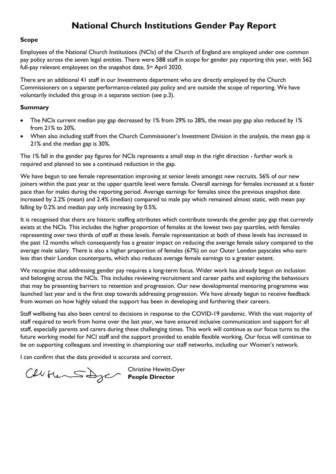# **National Church Institutions Gender Pay Report**

#### **Scope**

Employees of the National Church Institutions (NCIs) of the Church of England are employed under one common pay policy across the seven legal entities. There were 588 staff in scope for gender pay reporting this year, with 562 full-pay relevant employees on the snapshot date, 5<sup>th</sup> April 2020.

There are an additional 41 staff in our Investments department who are directly employed by the Church Commissioners on a separate performance-related pay policy and are outside the scope of reporting. We have voluntarily included this group in a separate section (see p.3).

#### **Summary**

- The NCIs current median pay gap decreased by 1% from 29% to 28%, the mean pay gap also reduced by 1% from 21% to 20%.
- When also including staff from the Church Commissioner's Investment Division in the analysis, the mean gap is 21% and the median gap is 30%.

The 1% fall in the gender pay figures for NCIs represents a small step in the right direction - further work is required and planned to see a continued reduction in the gap.

We have begun to see female representation improving at senior levels amongst new recruits. 56% of our new joiners within the past year at the upper quartile level were female. Overall earnings for females increased at a faster pace than for males during the reporting period. Average earnings for females since the previous snapshot date increased by 2.2% (mean) and 2.4% (median) compared to male pay which remained almost static, with mean pay falling by 0.2% and median pay only increasing by 0.5%.

It is recognised that there are historic staffing attributes which contribute towards the gender pay gap that currently exists at the NCIs. This includes the higher proportion of females at the lowest two pay quartiles, with females representing over two thirds of staff at these levels. Female representation at both of these levels has increased in the past 12 months which consequently has a greater impact on reducing the average female salary compared to the average male salary. There is also a higher proportion of females (67%) on our Outer London payscales who earn less than their London counterparts, which also reduces average female earnings to a greater extent.

We recognise that addressing gender pay requires a long-term focus. Wider work has already begun on inclusion and belonging across the NCIs. This includes reviewing recruitment and career paths and exploring the behaviours that may be presenting barriers to retention and progression. Our new developmental mentoring programme was launched last year and is the first step towards addressing progression. We have already begun to receive feedback from women on how highly valued the support has been in developing and furthering their careers.

Staff wellbeing has also been central to decisions in response to the COVID-19 pandemic. With the vast majority of staff required to work from home over the last year, we have ensured inclusive communication and support for all staff, especially parents and carers during these challenging times. This work will continue as our focus turns to the future working model for NCI staff and the support provided to enable flexible working. Our focus will continue to be on supporting colleagues and investing in championing our staff networks, including our Women's network.

I can confirm that the data provided is accurate and correct.

Christine Hewitt-Dyer **People Director**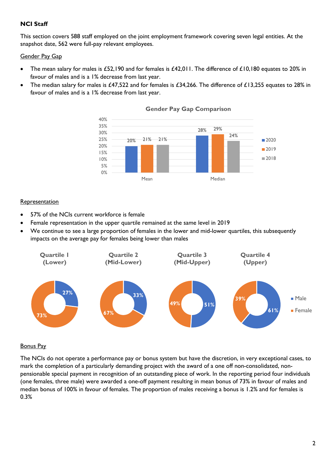### **NCI Staff**

This section covers 588 staff employed on the joint employment framework covering seven legal entities. At the snapshot date, 562 were full-pay relevant employees.

#### Gender Pay Gap

- The mean salary for males is £52,190 and for females is £42,011. The difference of £10,180 equates to 20% in favour of males and is a 1% decrease from last year.
- The median salary for males is £47,522 and for females is £34,266. The difference of £13,255 equates to 28% in favour of males and is a 1% decrease from last year.



#### **Gender Pay Gap Comparison**

#### **Representation**

- 57% of the NCIs current workforce is female
- Female representation in the upper quartile remained at the same level in 2019
- We continue to see a large proportion of females in the lower and mid-lower quartiles, this subsequently impacts on the average pay for females being lower than males



#### Bonus Pay

The NCIs do not operate a performance pay or bonus system but have the discretion, in very exceptional cases, to mark the completion of a particularly demanding project with the award of a one off non-consolidated, nonpensionable special payment in recognition of an outstanding piece of work. In the reporting period four individuals (one females, three male) were awarded a one-off payment resulting in mean bonus of 73% in favour of males and median bonus of 100% in favour of females. The proportion of males receiving a bonus is 1.2% and for females is 0.3%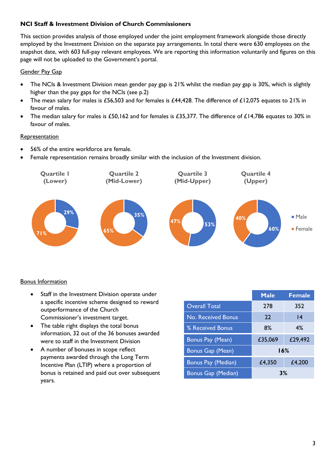### **NCI Staff & Investment Division of Church Commissioners**

This section provides analysis of those employed under the joint employment framework alongside those directly employed by the Investment Division on the separate pay arrangements. In total there were 630 employees on the snapshot date, with 603 full-pay relevant employees. We are reporting this information voluntarily and figures on this page will not be uploaded to the Government's portal.

### Gender Pay Gap

- The NCIs & Investment Division mean gender pay gap is 21% whilst the median pay gap is 30%, which is slightly higher than the pay gaps for the NCIs (see p.2)
- The mean salary for males is £56,503 and for females is £44,428. The difference of £12,075 equates to 21% in favour of males.
- The median salary for males is £50,162 and for females is £35,377. The difference of £14,786 equates to 30% in favour of males.

### **Representation**

- 56% of the entire workforce are female.
- Female representation remains broadly similar with the inclusion of the Investment division.



## Bonus Information

- Staff in the Investment Division operate under a specific incentive scheme designed to reward outperformance of the Church Commissioner's investment target.
- The table right displays the total bonus information, 32 out of the 36 bonuses awarded were to staff in the Investment Division
- A number of bonuses in scope reflect payments awarded through the Long Term Incentive Plan (LTIP) where a proportion of bonus is retained and paid out over subsequent years.

|                           | <b>Male</b> | <b>Female</b> |
|---------------------------|-------------|---------------|
| <b>Overall Total</b>      | 278         | 352           |
| <b>No. Received Bonus</b> | 22          | 4             |
| % Received Bonus          | 8%          | 4%            |
| Bonus Pay (Mean)          | £35,069     | £29,492       |
| <b>Bonus Gap (Mean)</b>   | 16%         |               |
| Bonus Pay (Median)        | £4,350      | £4,200        |
| Bonus Gap (Median)        | 3%          |               |